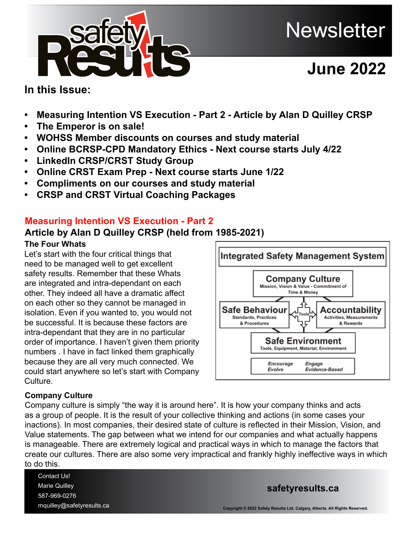

# **June 2022**

# **In this Issue:**

- **• Measuring Intention VS Execution Part 2 Article by Alan D Quilley CRSP**
- **• The Emperor is on sale!**
- **• WOHSS Member discounts on courses and study material**
- **• Online BCRSP-CPD Mandatory Ethics Next course starts July 4/22**
- **• LinkedIn CRSP/CRST Study Group**
- **• Online CRST Exam Prep Next course starts June 1/22**
- **• Compliments on our courses and study material**
- **CRSP and CRST Virtual Coaching Packages**

# **Measuring Intention VS Execution - Part 2**

# **Article by Alan D Quilley CRSP (held from 1985-2021)**

#### **The Four Whats**

Let's start with the four critical things that need to be managed well to get excellent safety results. Remember that these Whats are integrated and intra-dependant on each other. They indeed all have a dramatic affect on each other so they cannot be managed in isolation. Even if you wanted to, you would not be successful. It is because these factors are intra-dependant that they are in no particular order of importance. I haven't given them priority numbers . I have in fact linked them graphically because they are all very much connected. We could start anywhere so let's start with Company Culture.



### **Company Culture**

Company culture is simply "the way it is around here". It is how your company thinks and acts as a group of people. It is the result of your collective thinking and actions (in some cases your inactions). In most companies, their desired state of culture is reflected in their Mission, Vision, and Value statements. The gap between what we intend for our companies and what actually happens is manageable. There are extremely logical and practical ways in which to manage the factors that create our cultures. There are also some very impractical and frankly highly ineffective ways in which to do this.

Contact Us! Marie Quilley 587-969-0276 mquille[y@safetyresults.ca](mailto:mquilley%40safetyresults.ca?subject=)

#### **[safetyresults.ca](https://safetyresults.ca)**

**Copyright © 2022 Safety Results Ltd. Calgary, Alberta. All Rights Reserved.**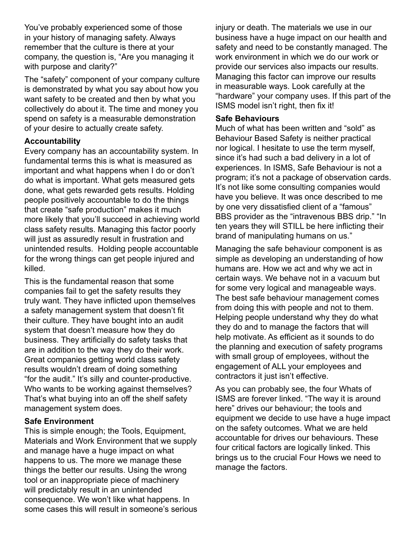You've probably experienced some of those in your history of managing safety. Always remember that the culture is there at your company, the question is, "Are you managing it with purpose and clarity?"

The "safety" component of your company culture is demonstrated by what you say about how you want safety to be created and then by what you collectively do about it. The time and money you spend on safety is a measurable demonstration of your desire to actually create safety.

#### **Accountability**

Every company has an accountability system. In fundamental terms this is what is measured as important and what happens when I do or don't do what is important. What gets measured gets done, what gets rewarded gets results. Holding people positively accountable to do the things that create "safe production" makes it much more likely that you'll succeed in achieving world class safety results. Managing this factor poorly will just as assuredly result in frustration and unintended results. Holding people accountable for the wrong things can get people injured and killed.

This is the fundamental reason that some companies fail to get the safety results they truly want. They have inflicted upon themselves a safety management system that doesn't fit their culture. They have bought into an audit system that doesn't measure how they do business. They artificially do safety tasks that are in addition to the way they do their work. Great companies getting world class safety results wouldn't dream of doing something "for the audit." It's silly and counter-productive. Who wants to be working against themselves? That's what buying into an off the shelf safety management system does.

#### **Safe Environment**

This is simple enough; the Tools, Equipment, Materials and Work Environment that we supply and manage have a huge impact on what happens to us. The more we manage these things the better our results. Using the wrong tool or an inappropriate piece of machinery will predictably result in an unintended consequence. We won't like what happens. In some cases this will result in someone's serious injury or death. The materials we use in our business have a huge impact on our health and safety and need to be constantly managed. The work environment in which we do our work or provide our services also impacts our results. Managing this factor can improve our results in measurable ways. Look carefully at the "hardware" your company uses. If this part of the ISMS model isn't right, then fix it!

#### **Safe Behaviours**

Much of what has been written and "sold" as Behaviour Based Safety is neither practical nor logical. I hesitate to use the term myself, since it's had such a bad delivery in a lot of experiences. In ISMS, Safe Behaviour is not a program; it's not a package of observation cards. It's not like some consulting companies would have you believe. It was once described to me by one very dissatisfied client of a "famous" BBS provider as the "intravenous BBS drip." "In ten years they will STILL be here inflicting their brand of manipulating humans on us."

Managing the safe behaviour component is as simple as developing an understanding of how humans are. How we act and why we act in certain ways. We behave not in a vacuum but for some very logical and manageable ways. The best safe behaviour management comes from doing this with people and not to them. Helping people understand why they do what they do and to manage the factors that will help motivate. As efficient as it sounds to do the planning and execution of safety programs with small group of employees, without the engagement of ALL your employees and contractors it just isn't effective.

As you can probably see, the four Whats of ISMS are forever linked. "The way it is around here" drives our behaviour; the tools and equipment we decide to use have a huge impact on the safety outcomes. What we are held accountable for drives our behaviours. These four critical factors are logically linked. This brings us to the crucial Four Hows we need to manage the factors.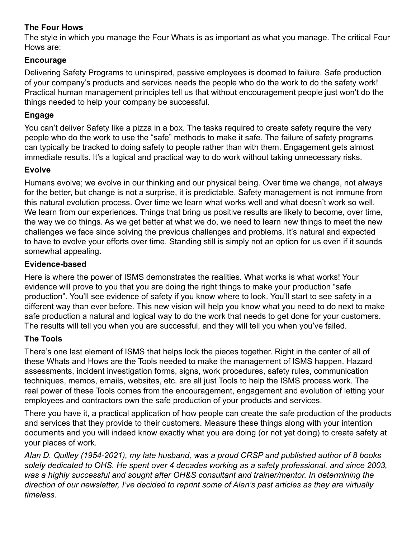### **The Four Hows**

The style in which you manage the Four Whats is as important as what you manage. The critical Four Hows are:

#### **Encourage**

Delivering Safety Programs to uninspired, passive employees is doomed to failure. Safe production of your company's products and services needs the people who do the work to do the safety work! Practical human management principles tell us that without encouragement people just won't do the things needed to help your company be successful.

#### **Engage**

You can't deliver Safety like a pizza in a box. The tasks required to create safety require the very people who do the work to use the "safe" methods to make it safe. The failure of safety programs can typically be tracked to doing safety to people rather than with them. Engagement gets almost immediate results. It's a logical and practical way to do work without taking unnecessary risks.

#### **Evolve**

Humans evolve; we evolve in our thinking and our physical being. Over time we change, not always for the better, but change is not a surprise, it is predictable. Safety management is not immune from this natural evolution process. Over time we learn what works well and what doesn't work so well. We learn from our experiences. Things that bring us positive results are likely to become, over time, the way we do things. As we get better at what we do, we need to learn new things to meet the new challenges we face since solving the previous challenges and problems. It's natural and expected to have to evolve your efforts over time. Standing still is simply not an option for us even if it sounds somewhat appealing.

#### **Evidence-based**

Here is where the power of ISMS demonstrates the realities. What works is what works! Your evidence will prove to you that you are doing the right things to make your production "safe production". You'll see evidence of safety if you know where to look. You'll start to see safety in a different way than ever before. This new vision will help you know what you need to do next to make safe production a natural and logical way to do the work that needs to get done for your customers. The results will tell you when you are successful, and they will tell you when you've failed.

### **The Tools**

There's one last element of ISMS that helps lock the pieces together. Right in the center of all of these Whats and Hows are the Tools needed to make the management of ISMS happen. Hazard assessments, incident investigation forms, signs, work procedures, safety rules, communication techniques, memos, emails, websites, etc. are all just Tools to help the ISMS process work. The real power of these Tools comes from the encouragement, engagement and evolution of letting your employees and contractors own the safe production of your products and services.

There you have it, a practical application of how people can create the safe production of the products and services that they provide to their customers. Measure these things along with your intention documents and you will indeed know exactly what you are doing (or not yet doing) to create safety at your places of work.

*Alan D. Quilley (1954-2021), my late husband, was a proud CRSP and published author of 8 books solely dedicated to OHS. He spent over 4 decades working as a safety professional, and since 2003, was a highly successful and sought after OH&S consultant and trainer/mentor. In determining the direction of our newsletter, I've decided to reprint some of Alan's past articles as they are virtually timeless.*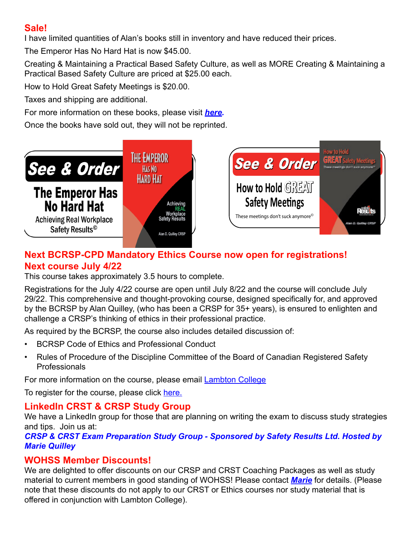# **Sale!**

I have limited quantities of Alan's books still in inventory and have reduced their prices.

The Emperor Has No Hard Hat is now \$45.00.

Creating & Maintaining a Practical Based Safety Culture, as well as MORE Creating & Maintaining a Practical Based Safety Culture are priced at \$25.00 each.

How to Hold Great Safety Meetings is \$20.00.

Taxes and shipping are additional.

For more information on these books, please visit *[here.](https://safetyresults.ca/safety-books/)* 

Once the books have sold out, they will not be reprinted.



# **[Next BCRSP-CPD Mandatory Ethics Co](https://safetyresults.ca/safety-books/)urse now open for registrations! Next course July 4/22**

This course takes approximately 3.5 hours to complete.

Registrations for the July 4/22 course are open until July 8/22 and the course will conclude July 29/22. This comprehensive and thought-provoking course, designed specifically for, and approved by the BCRSP by Alan Quilley, (who has been a CRSP for 35+ years), is ensured to enlighten and challenge a CRSP's thinking of ethics in their professional practice.

As required by the BCRSP, the course also includes detailed discussion of:

- BCRSP Code of Ethics and Professional Conduct
- Rules of Procedure of the Discipline Committee of the Board of Canadian Registered Safety Professionals

For more information on the course, please email **[Lambton College](mailto:online%40lambtoncollege.ca?subject=Information%20request%20-%20RSTH-2000%20%20BCRSP-CPD%20Mandatory%20Ethics%20Program%20)** 

To register for the course, please click [here.](https://www.lambtoncollege.ca/custom/LambtonApps/PartTime/Courses/Course.aspx?id=RSTH-2000)

# **LinkedIn CRST & CRSP Study Group**

We have a LinkedIn group for those that are planning on writing the exam to discuss study strategies and tips. Join us at:

*[CRSP & CRST Exam Preparation Study Group - Sponsored by Safety Results Ltd.](https://www.linkedin.com/groups/4276478/) Hosted by Marie Quilley*

# **WOHSS Member Discounts!**

We are delighted to offer discounts on our CRSP and CRST Coaching Packages as well as study material to current members in good standing of WOHSS! Please contact *[Marie](mailto:courses%40safetyresults.ca?subject=WOHSS%20Member%20Discounts)* for details. (Please note that these discounts do not apply to our CRST or Ethics courses nor study material that is offered in conjunction with Lambton College).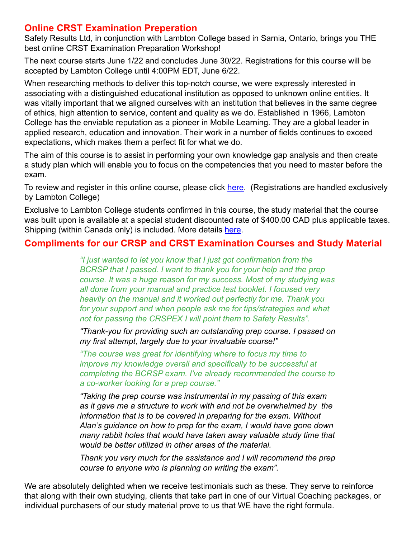# **Online CRST Examination Preperation**

Safety Results Ltd, in conjunction with Lambton College based in Sarnia, Ontario, brings you THE best online CRST Examination Preparation Workshop!

The next course starts June 1/22 and concludes June 30/22. Registrations for this course will be accepted by Lambton College until 4:00PM EDT, June 6/22.

When researching methods to deliver this top-notch course, we were expressly interested in associating with a distinguished educational institution as opposed to unknown online entities. It was vitally important that we aligned ourselves with an institution that believes in the same degree of ethics, high attention to service, content and quality as we do. Established in 1966, Lambton College has the enviable reputation as a pioneer in Mobile Learning. They are a global leader in applied research, education and innovation. Their work in a number of fields continues to exceed expectations, which makes them a perfect fit for what we do.

The aim of this course is to assist in performing your own knowledge gap analysis and then create a study plan which will enable you to focus on the competencies that you need to master before the exam.

To review and register in this online course, please click [here](https://www.lambtoncollege.ca/custom/LambtonApps/PartTime/Courses/Course.aspx?id=RSTE-1000). (Registrations are handled exclusively by Lambton College)

Exclusive to Lambton College students confirmed in this course, the study material that the course was built upon is available at a special student discounted rate of \$400.00 CAD plus applicable taxes. Shipping (within Canada only) is included. More details [here.](https://safetyresults.ca/lambton-online-crst-exam-prep-material/)

# **Compliments for our CRSP and CRST Examination Courses and Study Material**

*"I just wanted to let you know that I just got confirmation from the BCRSP that I passed. I want to thank you for your help and the prep course. It was a huge reason for my success. Most of my studying was all done from your manual and practice test booklet. I focused very heavily on the manual and it worked out perfectly for me. Thank you for your support and when people ask me for tips/strategies and what not for passing the CRSPEX I will point them to Safety Results".* 

*"Thank-you for providing such an outstanding prep course. I passed on my first attempt, largely due to your invaluable course!"*

*"The course was great for identifying where to focus my time to improve my knowledge overall and specifically to be successful at completing the BCRSP exam. I've already recommended the course to a co-worker looking for a prep course."*

*"Taking the prep course was instrumental in my passing of this exam as it gave me a structure to work with and not be overwhelmed by the information that is to be covered in preparing for the exam. Without Alan's guidance on how to prep for the exam, I would have gone down many rabbit holes that would have taken away valuable study time that would be better utilized in other areas of the material.* 

*Thank you very much for the assistance and I will recommend the prep course to anyone who is planning on writing the exam".*

We are absolutely delighted when we receive testimonials such as these. They serve to reinforce that along with their own studying, clients that take part in one of our Virtual Coaching packages, or individual purchasers of our study material prove to us that WE have the right formula.